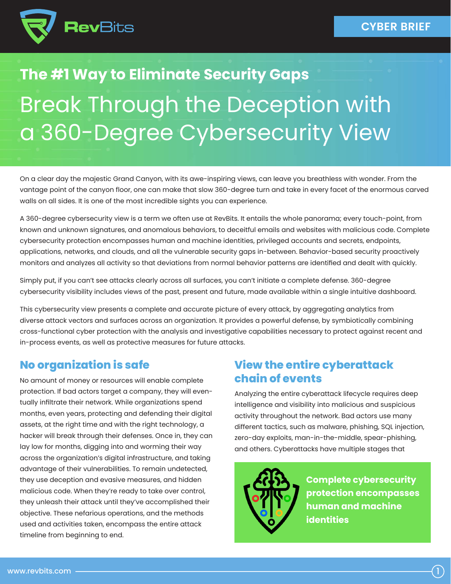

# **The #1 Way to Eliminate Security Gaps** Break Through the Deception with a 360-Degree Cybersecurity View

On a clear day the majestic Grand Canyon, with its awe-inspiring views, can leave you breathless with wonder. From the vantage point of the canyon floor, one can make that slow 360-degree turn and take in every facet of the enormous carved walls on all sides. It is one of the most incredible sights you can experience.

A 360-degree cybersecurity view is a term we often use at RevBits. It entails the whole panorama; every touch-point, from known and unknown signatures, and anomalous behaviors, to deceitful emails and websites with malicious code. Complete cybersecurity protection encompasses human and machine identities, privileged accounts and secrets, endpoints, applications, networks, and clouds, and all the vulnerable security gaps in-between. Behavior-based security proactively monitors and analyzes all activity so that deviations from normal behavior patterns are identified and dealt with quickly.

Simply put, if you can't see attacks clearly across all surfaces, you can't initiate a complete defense. 360-degree cybersecurity visibility includes views of the past, present and future, made available within a single intuitive dashboard.

This cybersecurity view presents a complete and accurate picture of every attack, by aggregating analytics from diverse attack vectors and surfaces across an organization. It provides a powerful defense, by symbiotically combining cross-functional cyber protection with the analysis and investigative capabilities necessary to protect against recent and in-process events, as well as protective measures for future attacks.

### **No organization is safe**

No amount of money or resources will enable complete protection. If bad actors target a company, they will eventually infiltrate their network. While organizations spend months, even years, protecting and defending their digital assets, at the right time and with the right technology, a hacker will break through their defenses. Once in, they can lay low for months, digging into and worming their way across the organization's digital infrastructure, and taking advantage of their vulnerabilities. To remain undetected, they use deception and evasive measures, and hidden malicious code. When they're ready to take over control, they unleash their attack until they've accomplished their objective. These nefarious operations, and the methods used and activities taken, encompass the entire attack timeline from beginning to end.

### **View the entire cyberattack chain of events**

Analyzing the entire cyberattack lifecycle requires deep intelligence and visibility into malicious and suspicious activity throughout the network. Bad actors use many different tactics, such as malware, phishing, SQL injection, zero-day exploits, man-in-the-middle, spear-phishing, and others. Cyberattacks have multiple stages that



**Complete cybersecurity protection encompasses human and machine identities**